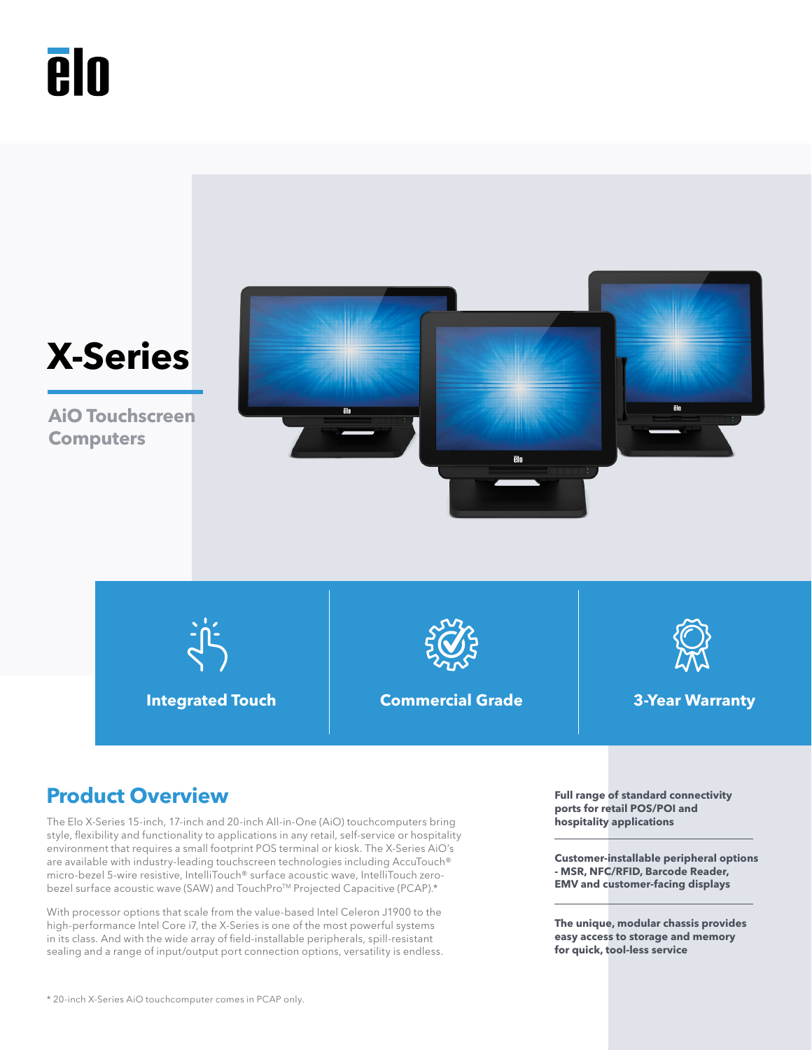# **Aln**



# **Product Overview Full range of standard connectivity**

The Elo X-Series 15-inch, 17-inch and 20-inch All-in-One (AiO) touchcomputers bring style, flexibility and functionality to applications in any retail, self-service or hospitality environment that requires a small footprint POS terminal or kiosk. The X-Series AiO's are available with industry-leading touchscreen technologies including AccuTouch® micro-bezel 5-wire resistive, IntelliTouch® surface acoustic wave, IntelliTouch zerobezel surface acoustic wave (SAW) and TouchPro<sup>TM</sup> Projected Capacitive (PCAP).\*

With processor options that scale from the value-based Intel Celeron J1900 to the high-performance Intel Core i7, the X-Series is one of the most powerful systems in its class. And with the wide array of field-installable peripherals, spill-resistant sealing and a range of input/output port connection options, versatility is endless. **ports for retail POS/POI and hospitality applications**

**Customer-installable peripheral options - MSR, NFC/RFID, Barcode Reader, EMV and customer-facing displays**

**The unique, modular chassis provides easy access to storage and memory for quick, tool-less service**